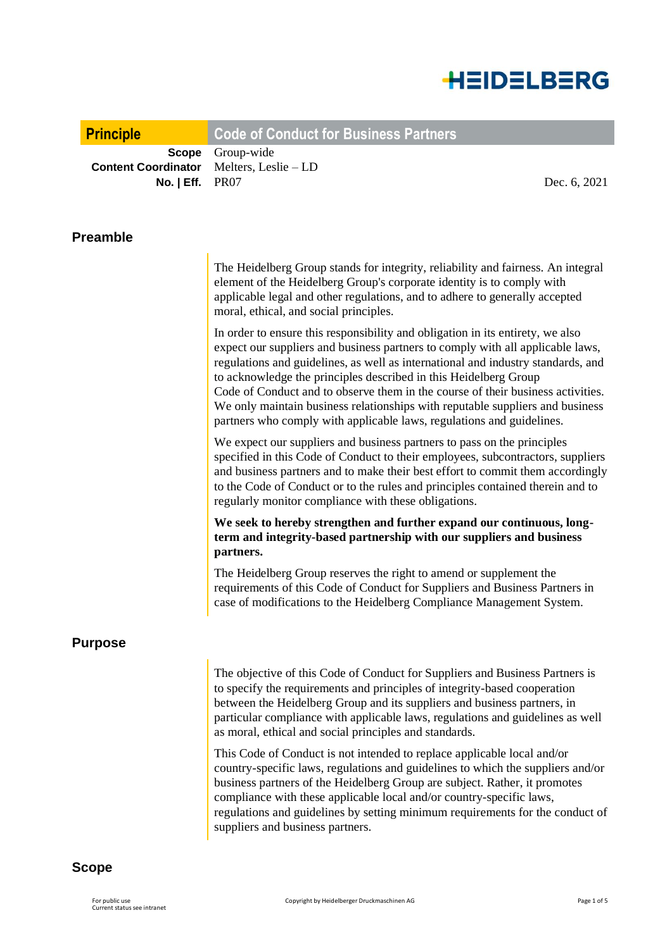

| <b>Principle</b>                                         | <b>Code of Conduct for Business Partners</b>                                                                                                                                                                                                                                                                                                                                                                                                                                                                                                                          |
|----------------------------------------------------------|-----------------------------------------------------------------------------------------------------------------------------------------------------------------------------------------------------------------------------------------------------------------------------------------------------------------------------------------------------------------------------------------------------------------------------------------------------------------------------------------------------------------------------------------------------------------------|
| <b>Scope</b><br><b>Content Coordinator</b><br>No.   Eff. | Group-wide<br>Melters, Leslie - LD<br><b>PR07</b><br>Dec. 6, 2021                                                                                                                                                                                                                                                                                                                                                                                                                                                                                                     |
| <b>Preamble</b>                                          |                                                                                                                                                                                                                                                                                                                                                                                                                                                                                                                                                                       |
|                                                          | The Heidelberg Group stands for integrity, reliability and fairness. An integral<br>element of the Heidelberg Group's corporate identity is to comply with<br>applicable legal and other regulations, and to adhere to generally accepted<br>moral, ethical, and social principles.                                                                                                                                                                                                                                                                                   |
|                                                          | In order to ensure this responsibility and obligation in its entirety, we also<br>expect our suppliers and business partners to comply with all applicable laws,<br>regulations and guidelines, as well as international and industry standards, and<br>to acknowledge the principles described in this Heidelberg Group<br>Code of Conduct and to observe them in the course of their business activities.<br>We only maintain business relationships with reputable suppliers and business<br>partners who comply with applicable laws, regulations and guidelines. |
|                                                          | We expect our suppliers and business partners to pass on the principles<br>specified in this Code of Conduct to their employees, subcontractors, suppliers<br>and business partners and to make their best effort to commit them accordingly<br>to the Code of Conduct or to the rules and principles contained therein and to<br>regularly monitor compliance with these obligations.                                                                                                                                                                                |
|                                                          | We seek to hereby strengthen and further expand our continuous, long-<br>term and integrity-based partnership with our suppliers and business<br>partners.                                                                                                                                                                                                                                                                                                                                                                                                            |
|                                                          | The Heidelberg Group reserves the right to amend or supplement the<br>requirements of this Code of Conduct for Suppliers and Business Partners in<br>case of modifications to the Heidelberg Compliance Management System.                                                                                                                                                                                                                                                                                                                                            |
| <b>Purpose</b>                                           |                                                                                                                                                                                                                                                                                                                                                                                                                                                                                                                                                                       |
|                                                          | The objective of this Code of Conduct for Suppliers and Business Partners is<br>to specify the requirements and principles of integrity-based cooperation<br>between the Heidelberg Group and its suppliers and business partners, in<br>particular compliance with applicable laws, regulations and guidelines as well<br>as moral, ethical and social principles and standards.                                                                                                                                                                                     |

This Code of Conduct is not intended to replace applicable local and/or country-specific laws, regulations and guidelines to which the suppliers and/or business partners of the Heidelberg Group are subject. Rather, it promotes compliance with these applicable local and/or country-specific laws, regulations and guidelines by setting minimum requirements for the conduct of suppliers and business partners.

## **Scope**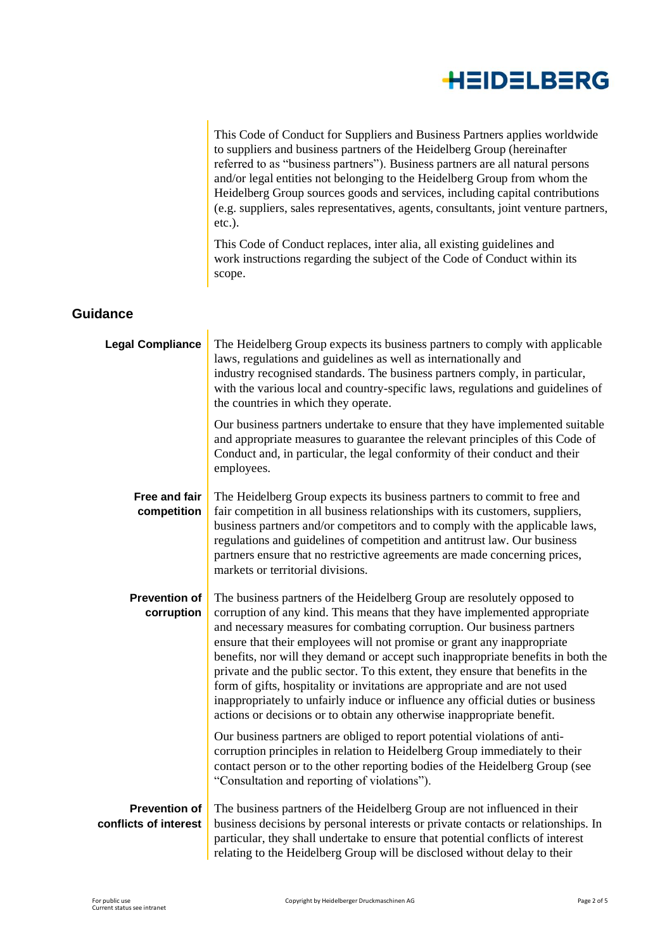

This Code of Conduct for Suppliers and Business Partners applies worldwide to suppliers and business partners of the Heidelberg Group (hereinafter referred to as "business partners"). Business partners are all natural persons and/or legal entities not belonging to the Heidelberg Group from whom the Heidelberg Group sources goods and services, including capital contributions (e.g. suppliers, sales representatives, agents, consultants, joint venture partners, etc.).

This Code of Conduct replaces, inter alia, all existing guidelines and work instructions regarding the subject of the Code of Conduct within its scope.

## **Guidance**

| <b>Legal Compliance</b>                       | The Heidelberg Group expects its business partners to comply with applicable<br>laws, regulations and guidelines as well as internationally and<br>industry recognised standards. The business partners comply, in particular,<br>with the various local and country-specific laws, regulations and guidelines of<br>the countries in which they operate.                                                                                                                                                                                                                                                                                                                                                                   |
|-----------------------------------------------|-----------------------------------------------------------------------------------------------------------------------------------------------------------------------------------------------------------------------------------------------------------------------------------------------------------------------------------------------------------------------------------------------------------------------------------------------------------------------------------------------------------------------------------------------------------------------------------------------------------------------------------------------------------------------------------------------------------------------------|
|                                               | Our business partners undertake to ensure that they have implemented suitable<br>and appropriate measures to guarantee the relevant principles of this Code of<br>Conduct and, in particular, the legal conformity of their conduct and their<br>employees.                                                                                                                                                                                                                                                                                                                                                                                                                                                                 |
| Free and fair<br>competition                  | The Heidelberg Group expects its business partners to commit to free and<br>fair competition in all business relationships with its customers, suppliers,<br>business partners and/or competitors and to comply with the applicable laws,<br>regulations and guidelines of competition and antitrust law. Our business<br>partners ensure that no restrictive agreements are made concerning prices,<br>markets or territorial divisions.                                                                                                                                                                                                                                                                                   |
| <b>Prevention of</b><br>corruption            | The business partners of the Heidelberg Group are resolutely opposed to<br>corruption of any kind. This means that they have implemented appropriate<br>and necessary measures for combating corruption. Our business partners<br>ensure that their employees will not promise or grant any inappropriate<br>benefits, nor will they demand or accept such inappropriate benefits in both the<br>private and the public sector. To this extent, they ensure that benefits in the<br>form of gifts, hospitality or invitations are appropriate and are not used<br>inappropriately to unfairly induce or influence any official duties or business<br>actions or decisions or to obtain any otherwise inappropriate benefit. |
|                                               | Our business partners are obliged to report potential violations of anti-<br>corruption principles in relation to Heidelberg Group immediately to their<br>contact person or to the other reporting bodies of the Heidelberg Group (see<br>"Consultation and reporting of violations").                                                                                                                                                                                                                                                                                                                                                                                                                                     |
| <b>Prevention of</b><br>conflicts of interest | The business partners of the Heidelberg Group are not influenced in their<br>business decisions by personal interests or private contacts or relationships. In<br>particular, they shall undertake to ensure that potential conflicts of interest<br>relating to the Heidelberg Group will be disclosed without delay to their                                                                                                                                                                                                                                                                                                                                                                                              |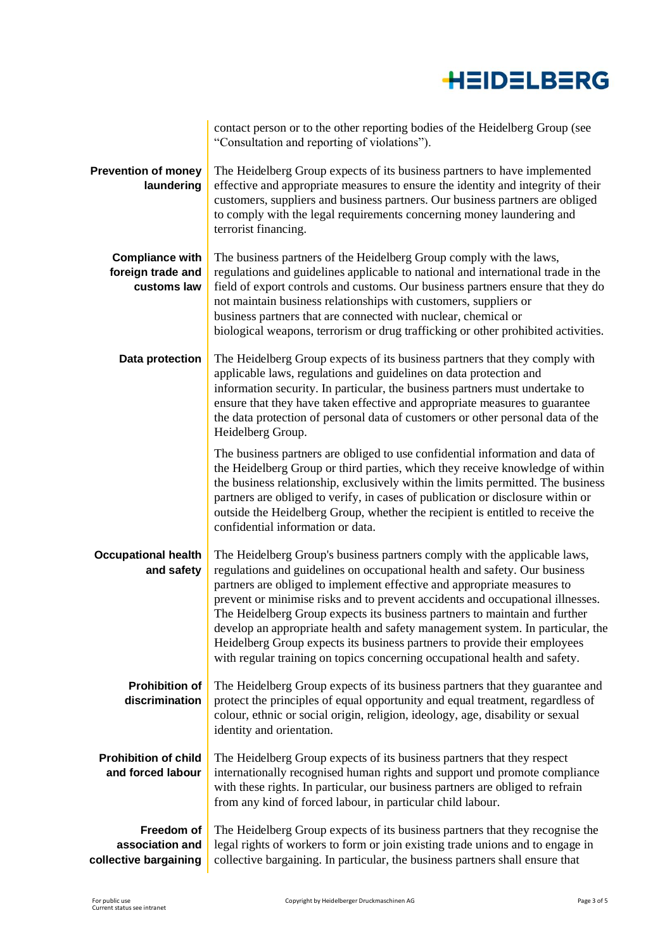

|                                                            | contact person or to the other reporting bodies of the Heidelberg Group (see<br>"Consultation and reporting of violations").                                                                                                                                                                                                                                                                                                                                                                                                                                                                                                                    |
|------------------------------------------------------------|-------------------------------------------------------------------------------------------------------------------------------------------------------------------------------------------------------------------------------------------------------------------------------------------------------------------------------------------------------------------------------------------------------------------------------------------------------------------------------------------------------------------------------------------------------------------------------------------------------------------------------------------------|
| <b>Prevention of money</b><br>laundering                   | The Heidelberg Group expects of its business partners to have implemented<br>effective and appropriate measures to ensure the identity and integrity of their<br>customers, suppliers and business partners. Our business partners are obliged<br>to comply with the legal requirements concerning money laundering and<br>terrorist financing.                                                                                                                                                                                                                                                                                                 |
| <b>Compliance with</b><br>foreign trade and<br>customs law | The business partners of the Heidelberg Group comply with the laws,<br>regulations and guidelines applicable to national and international trade in the<br>field of export controls and customs. Our business partners ensure that they do<br>not maintain business relationships with customers, suppliers or<br>business partners that are connected with nuclear, chemical or<br>biological weapons, terrorism or drug trafficking or other prohibited activities.                                                                                                                                                                           |
| Data protection                                            | The Heidelberg Group expects of its business partners that they comply with<br>applicable laws, regulations and guidelines on data protection and<br>information security. In particular, the business partners must undertake to<br>ensure that they have taken effective and appropriate measures to guarantee<br>the data protection of personal data of customers or other personal data of the<br>Heidelberg Group.                                                                                                                                                                                                                        |
|                                                            | The business partners are obliged to use confidential information and data of<br>the Heidelberg Group or third parties, which they receive knowledge of within<br>the business relationship, exclusively within the limits permitted. The business<br>partners are obliged to verify, in cases of publication or disclosure within or<br>outside the Heidelberg Group, whether the recipient is entitled to receive the<br>confidential information or data.                                                                                                                                                                                    |
| <b>Occupational health</b><br>and safety                   | The Heidelberg Group's business partners comply with the applicable laws,<br>regulations and guidelines on occupational health and safety. Our business<br>partners are obliged to implement effective and appropriate measures to<br>prevent or minimise risks and to prevent accidents and occupational illnesses.<br>The Heidelberg Group expects its business partners to maintain and further<br>develop an appropriate health and safety management system. In particular, the<br>Heidelberg Group expects its business partners to provide their employees<br>with regular training on topics concerning occupational health and safety. |
| Prohibition of<br>discrimination                           | The Heidelberg Group expects of its business partners that they guarantee and<br>protect the principles of equal opportunity and equal treatment, regardless of<br>colour, ethnic or social origin, religion, ideology, age, disability or sexual<br>identity and orientation.                                                                                                                                                                                                                                                                                                                                                                  |
| <b>Prohibition of child</b><br>and forced labour           | The Heidelberg Group expects of its business partners that they respect<br>internationally recognised human rights and support und promote compliance<br>with these rights. In particular, our business partners are obliged to refrain<br>from any kind of forced labour, in particular child labour.                                                                                                                                                                                                                                                                                                                                          |
| Freedom of<br>association and<br>collective bargaining     | The Heidelberg Group expects of its business partners that they recognise the<br>legal rights of workers to form or join existing trade unions and to engage in<br>collective bargaining. In particular, the business partners shall ensure that                                                                                                                                                                                                                                                                                                                                                                                                |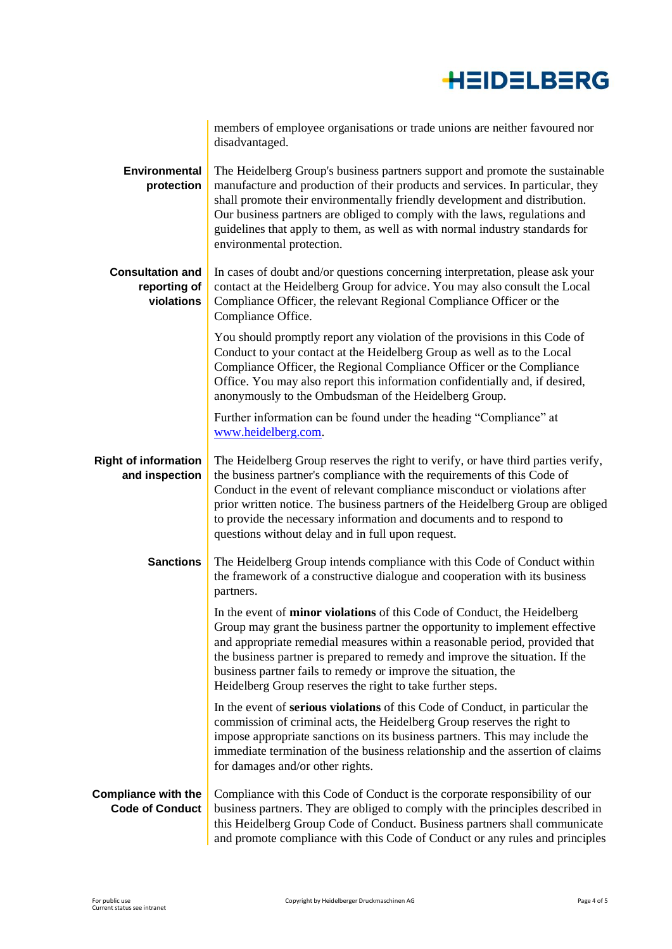

|                                                       | members of employee organisations or trade unions are neither favoured nor<br>disadvantaged.                                                                                                                                                                                                                                                                                                                                                                  |
|-------------------------------------------------------|---------------------------------------------------------------------------------------------------------------------------------------------------------------------------------------------------------------------------------------------------------------------------------------------------------------------------------------------------------------------------------------------------------------------------------------------------------------|
| Environmental<br>protection                           | The Heidelberg Group's business partners support and promote the sustainable<br>manufacture and production of their products and services. In particular, they<br>shall promote their environmentally friendly development and distribution.<br>Our business partners are obliged to comply with the laws, regulations and<br>guidelines that apply to them, as well as with normal industry standards for<br>environmental protection.                       |
| <b>Consultation and</b><br>reporting of<br>violations | In cases of doubt and/or questions concerning interpretation, please ask your<br>contact at the Heidelberg Group for advice. You may also consult the Local<br>Compliance Officer, the relevant Regional Compliance Officer or the<br>Compliance Office.                                                                                                                                                                                                      |
|                                                       | You should promptly report any violation of the provisions in this Code of<br>Conduct to your contact at the Heidelberg Group as well as to the Local<br>Compliance Officer, the Regional Compliance Officer or the Compliance<br>Office. You may also report this information confidentially and, if desired,<br>anonymously to the Ombudsman of the Heidelberg Group.                                                                                       |
|                                                       | Further information can be found under the heading "Compliance" at<br>www.heidelberg.com.                                                                                                                                                                                                                                                                                                                                                                     |
| <b>Right of information</b><br>and inspection         | The Heidelberg Group reserves the right to verify, or have third parties verify,<br>the business partner's compliance with the requirements of this Code of<br>Conduct in the event of relevant compliance misconduct or violations after<br>prior written notice. The business partners of the Heidelberg Group are obliged<br>to provide the necessary information and documents and to respond to<br>questions without delay and in full upon request.     |
| <b>Sanctions</b>                                      | The Heidelberg Group intends compliance with this Code of Conduct within<br>the framework of a constructive dialogue and cooperation with its business<br>partners.                                                                                                                                                                                                                                                                                           |
|                                                       | In the event of <b>minor violations</b> of this Code of Conduct, the Heidelberg<br>Group may grant the business partner the opportunity to implement effective<br>and appropriate remedial measures within a reasonable period, provided that<br>the business partner is prepared to remedy and improve the situation. If the<br>business partner fails to remedy or improve the situation, the<br>Heidelberg Group reserves the right to take further steps. |
|                                                       | In the event of serious violations of this Code of Conduct, in particular the<br>commission of criminal acts, the Heidelberg Group reserves the right to<br>impose appropriate sanctions on its business partners. This may include the<br>immediate termination of the business relationship and the assertion of claims<br>for damages and/or other rights.                                                                                                 |
| <b>Compliance with the</b><br><b>Code of Conduct</b>  | Compliance with this Code of Conduct is the corporate responsibility of our<br>business partners. They are obliged to comply with the principles described in<br>this Heidelberg Group Code of Conduct. Business partners shall communicate<br>and promote compliance with this Code of Conduct or any rules and principles                                                                                                                                   |